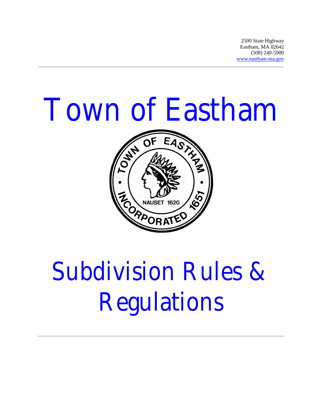2500 State Highway Eastham, MA 02642 (508) 240-5900 www.eastham-ma.gov

# Town of Eastham



# Subdivision Rules & Regulations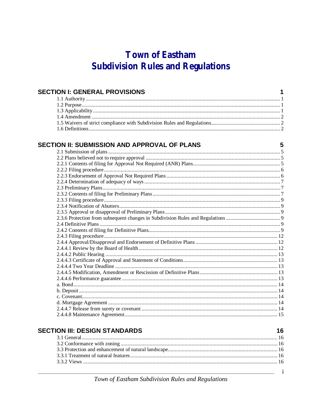# **Town of Eastham Subdivision Rules and Regulations**

| <b>SECTION I: GENERAL PROVISIONS</b>         | 1 |
|----------------------------------------------|---|
|                                              |   |
|                                              |   |
|                                              |   |
|                                              |   |
|                                              |   |
|                                              |   |
| SECTION II: SUBMISSION AND APPROVAL OF PLANS | 5 |
|                                              |   |
|                                              |   |
|                                              |   |
|                                              |   |
|                                              |   |
|                                              |   |
|                                              |   |
|                                              |   |
|                                              |   |
|                                              |   |
|                                              |   |
|                                              |   |
|                                              |   |
|                                              |   |
|                                              |   |
|                                              |   |
|                                              |   |
|                                              |   |
|                                              |   |
|                                              |   |
|                                              |   |
|                                              |   |
|                                              |   |
|                                              |   |
|                                              |   |
|                                              |   |
|                                              |   |
|                                              |   |

| <b>SECTION III: DESIGN STANDARDS</b> | 16 |
|--------------------------------------|----|
|                                      |    |
|                                      |    |
|                                      |    |
|                                      |    |
|                                      |    |
|                                      |    |

Town of Eastham Subdivision Rules and Regulations

 $\mathbf{i}$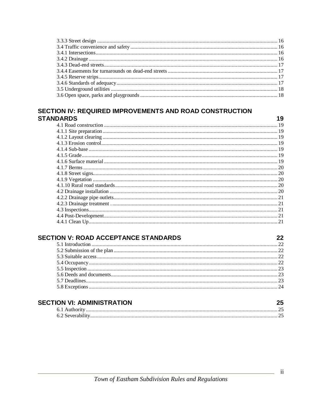#### SECTION IV: REQUIRED IMPROVEMENTS AND ROAD CONSTRUCTION **STANDARDS**

#### **SECTION V: ROAD ACCEPTANCE STANDARDS**

#### **SECTION VI: ADMINISTRATION**

19

22

25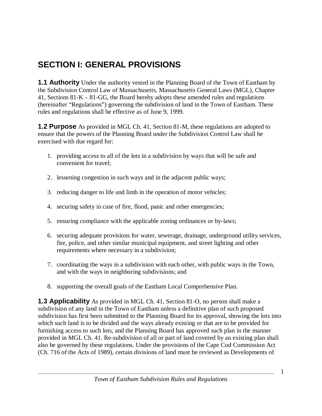# **SECTION I: GENERAL PROVISIONS**

**1.1 Authority** Under the authority vested in the Planning Board of the Town of Eastham by the Subdivision Control Law of Massachusetts, Massachusetts General Laws (MGL), Chapter 41, Sections 81-K – 81-GG, the Board hereby adopts these amended rules and regulations (hereinafter "Regulations") governing the subdivision of land in the Town of Eastham. These rules and regulations shall be effective as of June 9, 1999.

**1.2 Purpose** As provided in MGL Ch. 41, Section 81-M, these regulations are adopted to ensure that the powers of the Planning Board under the Subdivision Control Law shall be exercised with due regard for:

- 1. providing access to all of the lots in a subdivision by ways that will be safe and convenient for travel;
- 2. lessening congestion in such ways and in the adjacent public ways;
- 3. reducing danger to life and limb in the operation of motor vehicles;
- 4. securing safety in case of fire, flood, panic and other emergencies;
- 5. ensuring compliance with the applicable zoning ordinances or by-laws;
- 6. securing adequate provisions for water, sewerage, drainage, underground utility services, fire, police, and other similar municipal equipment, and street lighting and other requirements where necessary in a subdivision;
- 7. coordinating the ways in a subdivision with each other, with public ways in the Town, and with the ways in neighboring subdivisions; and
- 8. supporting the overall goals of the Eastham Local Comprehensive Plan.

**1.3 Applicability** As provided in MGL Ch. 41, Section 81-O, no person shall make a subdivision of any land in the Town of Eastham unless a definitive plan of such proposed subdivision has first been submitted to the Planning Board for its approval, showing the lots into which such land is to be divided and the ways already existing or that are to be provided for furnishing access to such lots, and the Planning Board has approved such plan in the manner provided in MGL Ch. 41. Re-subdivision of all or part of land covered by an existing plan shall also be governed by these regulations. Under the provisions of the Cape Cod Commission Act (Ch. 716 of the Acts of 1989), certain divisions of land must be reviewed as Developments of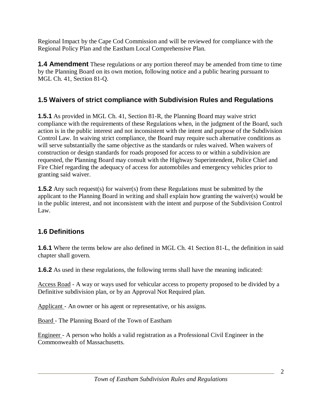Regional Impact by the Cape Cod Commission and will be reviewed for compliance with the Regional Policy Plan and the Eastham Local Comprehensive Plan.

**1.4 Amendment** These regulations or any portion thereof may be amended from time to time by the Planning Board on its own motion, following notice and a public hearing pursuant to MGL Ch. 41, Section 81-Q.

#### **1.5 Waivers of strict compliance with Subdivision Rules and Regulations**

**1.5.1** As provided in MGL Ch. 41, Section 81-R, the Planning Board may waive strict compliance with the requirements of these Regulations when, in the judgment of the Board, such action is in the public interest and not inconsistent with the intent and purpose of the Subdivision Control Law. In waiving strict compliance, the Board may require such alternative conditions as will serve substantially the same objective as the standards or rules waived. When waivers of construction or design standards for roads proposed for access to or within a subdivision are requested, the Planning Board may consult with the Highway Superintendent, Police Chief and Fire Chief regarding the adequacy of access for automobiles and emergency vehicles prior to granting said waiver.

**1.5.2** Any such request(s) for waiver(s) from these Regulations must be submitted by the applicant to the Planning Board in writing and shall explain how granting the waiver(s) would be in the public interest, and not inconsistent with the intent and purpose of the Subdivision Control Law.

#### **1.6 Definitions**

**1.6.1** Where the terms below are also defined in MGL Ch. 41 Section 81-L, the definition in said chapter shall govern.

**1.6.2** As used in these regulations, the following terms shall have the meaning indicated:

Access Road - A way or ways used for vehicular access to property proposed to be divided by a Definitive subdivision plan, or by an Approval Not Required plan.

Applicant - An owner or his agent or representative, or his assigns.

Board - The Planning Board of the Town of Eastham

Engineer - A person who holds a valid registration as a Professional Civil Engineer in the Commonwealth of Massachusetts.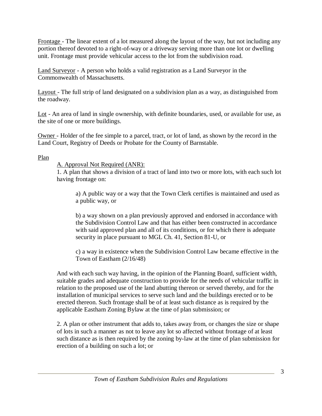Frontage - The linear extent of a lot measured along the layout of the way, but not including any portion thereof devoted to a right-of-way or a driveway serving more than one lot or dwelling unit. Frontage must provide vehicular access to the lot from the subdivision road.

Land Surveyor - A person who holds a valid registration as a Land Surveyor in the Commonwealth of Massachusetts.

Layout - The full strip of land designated on a subdivision plan as a way, as distinguished from the roadway.

Lot - An area of land in single ownership, with definite boundaries, used, or available for use, as the site of one or more buildings.

Owner - Holder of the fee simple to a parcel, tract, or lot of land, as shown by the record in the Land Court, Registry of Deeds or Probate for the County of Barnstable.

#### Plan

#### A. Approval Not Required (ANR):

1. A plan that shows a division of a tract of land into two or more lots, with each such lot having frontage on:

a) A public way or a way that the Town Clerk certifies is maintained and used as a public way, or

b) a way shown on a plan previously approved and endorsed in accordance with the Subdivision Control Law and that has either been constructed in accordance with said approved plan and all of its conditions, or for which there is adequate security in place pursuant to MGL Ch. 41, Section 81-U, or

c) a way in existence when the Subdivision Control Law became effective in the Town of Eastham (2/16/48)

And with each such way having, in the opinion of the Planning Board, sufficient width, suitable grades and adequate construction to provide for the needs of vehicular traffic in relation to the proposed use of the land abutting thereon or served thereby, and for the installation of municipal services to serve such land and the buildings erected or to be erected thereon. Such frontage shall be of at least such distance as is required by the applicable Eastham Zoning Bylaw at the time of plan submission; or

2. A plan or other instrument that adds to, takes away from, or changes the size or shape of lots in such a manner as not to leave any lot so affected without frontage of at least such distance as is then required by the zoning by-law at the time of plan submission for erection of a building on such a lot; or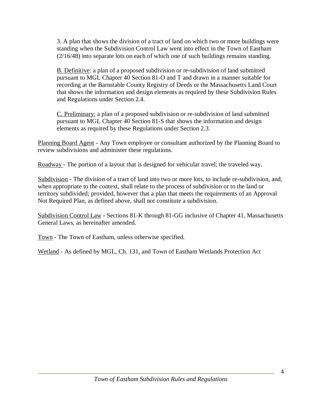3. A plan that shows the division of a tract of land on which two or more buildings were standing when the Subdivision Control Law went into effect in the Town of Eastham (2/16/48) into separate lots on each of which one of such buildings remains standing.

B. Definitive: a plan of a proposed subdivision or re-subdivision of land submitted pursuant to MGL Chapter 40 Section 81-O and T and drawn in a manner suitable for recording at the Barnstable County Registry of Deeds or the Massachusetts Land Court that shows the information and design elements as required by these Subdivision Rules and Regulations under Section 2.4.

C. Preliminary: a plan of a proposed subdivision or re-subdivision of land submitted pursuant to MGL Chapter 40 Section 81-S that shows the information and design elements as required by these Regulations under Section 2.3.

Planning Board Agent - Any Town employee or consultant authorized by the Planning Board to review subdivisions and administer these regulations.

Roadway - The portion of a layout that is designed for vehicular travel; the traveled way.

Subdivision - The division of a tract of land into two or more lots, to include re-subdivision, and, when appropriate to the context, shall relate to the process of subdivision or to the land or territory subdivided; provided, however that a plan that meets the requirements of an Approval Not Required Plan, as defined above, shall not constitute a subdivision.

Subdivision Control Law - Sections 81-K through 81-GG inclusive of Chapter 41, Massachusetts General Laws, as hereinafter amended.

Town - The Town of Eastham, unless otherwise specified.

Wetland - As defined by MGL, Ch. 131, and Town of Eastham Wetlands Protection Act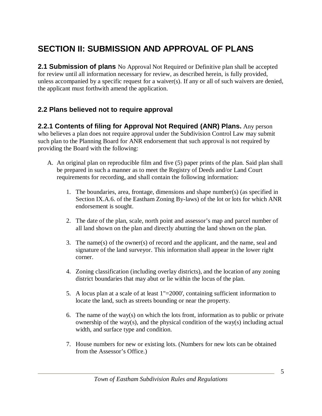# **SECTION II: SUBMISSION AND APPROVAL OF PLANS**

**2.1 Submission of plans** No Approval Not Required or Definitive plan shall be accepted for review until all information necessary for review, as described herein, is fully provided, unless accompanied by a specific request for a waiver(s). If any or all of such waivers are denied, the applicant must forthwith amend the application.

#### **2.2 Plans believed not to require approval**

**2.2.1 Contents of filing for Approval Not Required (ANR) Plans.** Any person who believes a plan does not require approval under the Subdivision Control Law may submit such plan to the Planning Board for ANR endorsement that such approval is not required by providing the Board with the following:

- A. An original plan on reproducible film and five (5) paper prints of the plan. Said plan shall be prepared in such a manner as to meet the Registry of Deeds and/or Land Court requirements for recording, and shall contain the following information:
	- 1. The boundaries, area, frontage, dimensions and shape number(s) (as specified in Section IX.A.6. of the Eastham Zoning By-laws) of the lot or lots for which ANR endorsement is sought.
	- 2. The date of the plan, scale, north point and assessor's map and parcel number of all land shown on the plan and directly abutting the land shown on the plan.
	- 3. The name(s) of the owner(s) of record and the applicant, and the name, seal and signature of the land surveyor. This information shall appear in the lower right corner.
	- 4. Zoning classification (including overlay districts), and the location of any zoning district boundaries that may abut or lie within the locus of the plan.
	- 5. A locus plan at a scale of at least 1"=2000', containing sufficient information to locate the land, such as streets bounding or near the property.
	- 6. The name of the way(s) on which the lots front, information as to public or private ownership of the way(s), and the physical condition of the way(s) including actual width, and surface type and condition.
	- 7. House numbers for new or existing lots. (Numbers for new lots can be obtained from the Assessor's Office.)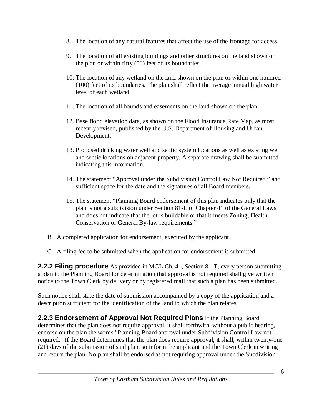- 8. The location of any natural features that affect the use of the frontage for access.
- 9. The location of all existing buildings and other structures on the land shown on the plan or within fifty (50) feet of its boundaries.
- 10. The location of any wetland on the land shown on the plan or within one hundred (100) feet of its boundaries. The plan shall reflect the average annual high water level of each wetland.
- 11. The location of all bounds and easements on the land shown on the plan.
- 12. Base flood elevation data, as shown on the Flood Insurance Rate Map, as most recently revised, published by the U.S. Department of Housing and Urban Development.
- 13. Proposed drinking water well and septic system locations as well as existing well and septic locations on adjacent property. A separate drawing shall be submitted indicating this information.
- 14. The statement "Approval under the Subdivision Control Law Not Required," and sufficient space for the date and the signatures of all Board members.
- 15. The statement "Planning Board endorsement of this plan indicates only that the plan is not a subdivision under Section 81-L of Chapter 41 of the General Laws and does not indicate that the lot is buildable or that it meets Zoning, Health, Conservation or General By-law requirements."
- B. A completed application for endorsement, executed by the applicant.
- C. A filing fee to be submitted when the application for endorsement is submitted

**2.2.2 Filing procedure** As provided in MGL Ch. 41, Section 81-T, every person submitting a plan to the Planning Board for determination that approval is not required shall give written notice to the Town Clerk by delivery or by registered mail that such a plan has been submitted.

Such notice shall state the date of submission accompanied by a copy of the application and a description sufficient for the identification of the land to which the plan relates.

**2.2.3 Endorsement of Approval Not Required Plans** If the Planning Board determines that the plan does not require approval, it shall forthwith, without a public hearing, endorse on the plan the words "Planning Board approval under Subdivision Control Law not required." If the Board determines that the plan does require approval, it shall, within twenty-one (21) days of the submission of said plan, so inform the applicant and the Town Clerk in writing and return the plan. No plan shall be endorsed as not requiring approval under the Subdivision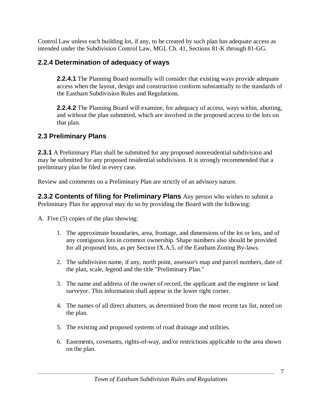Control Law unless each building lot, if any, to be created by such plan has adequate access as intended under the Subdivision Control Law, MGL Ch. 41, Sections 81-K through 81-GG.

#### **2.2.4 Determination of adequacy of ways**

**2.2.4.1** The Planning Board normally will consider that existing ways provide adequate access when the layout, design and construction conform substantially to the standards of the Eastham Subdivision Rules and Regulations.

**2.2.4.2** The Planning Board will examine, for adequacy of access, ways within, abutting, and without the plan submitted, which are involved in the proposed access to the lots on that plan.

#### **2.3 Preliminary Plans**

**2.3.1** A Preliminary Plan shall be submitted for any proposed nonresidential subdivision and may be submitted for any proposed residential subdivision. It is strongly recommended that a preliminary plan be filed in every case.

Review and comments on a Preliminary Plan are strictly of an advisory nature.

**2.3.2 Contents of filing for Preliminary Plans** Any person who wishes to submit a Preliminary Plan for approval may do so by providing the Board with the following:

A. Five (5) copies of the plan showing:

- 1. The approximate boundaries, area, frontage, and dimensions of the lot or lots, and of any contiguous lots in common ownership. Shape numbers also should be provided for all proposed lots, as per Section IX.A.5. of the Eastham Zoning By-laws.
- 2. The subdivision name, if any, north point, assessor's map and parcel numbers, date of the plan, scale, legend and the title "Preliminary Plan."
- 3. The name and address of the owner of record, the applicant and the engineer or land surveyor. This information shall appear in the lower right corner.
- 4. The names of all direct abutters, as determined from the most recent tax list, noted on the plan.
- 5. The existing and proposed systems of road drainage and utilities.
- 6. Easements, covenants, rights-of-way, and/or restrictions applicable to the area shown on the plan.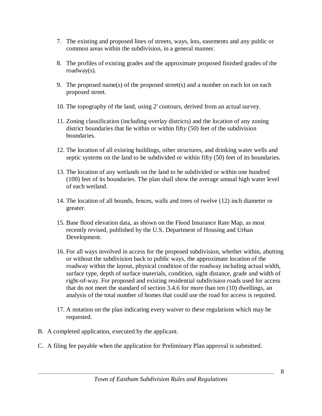- 7. The existing and proposed lines of streets, ways, lots, easements and any public or common areas within the subdivision, in a general manner.
- 8. The profiles of existing grades and the approximate proposed finished grades of the roadway(s).
- 9. The proposed name(s) of the proposed street(s) and a number on each lot on each proposed street.
- 10. The topography of the land, using 2' contours, derived from an actual survey.
- 11. Zoning classification (including overlay districts) and the location of any zoning district boundaries that lie within or within fifty (50) feet of the subdivision boundaries.
- 12. The location of all existing buildings, other structures, and drinking water wells and septic systems on the land to be subdivided or within fifty (50) feet of its boundaries.
- 13. The location of any wetlands on the land to be subdivided or within one hundred (100) feet of its boundaries. The plan shall show the average annual high water level of each wetland.
- 14. The location of all bounds, fences, walls and trees of twelve (12) inch diameter or greater.
- 15. Base flood elevation data, as shown on the Flood Insurance Rate Map, as most recently revised, published by the U.S. Department of Housing and Urban Development.
- 16. For all ways involved in access for the proposed subdivision, whether within, abutting or without the subdivision back to public ways, the approximate location of the roadway within the layout, physical condition of the roadway including actual width, surface type, depth of surface materials, condition, sight distance, grade and width of right-of-way. For proposed and existing residential subdivision roads used for access that do not meet the standard of section 3.4.6 for more than ten (10) dwellings, an analysis of the total number of homes that could use the road for access is required.
- 17. A notation on the plan indicating every waiver to these regulations which may be requested.
- B. A completed application, executed by the applicant.
- C. A filing fee payable when the application for Preliminary Plan approval is submitted.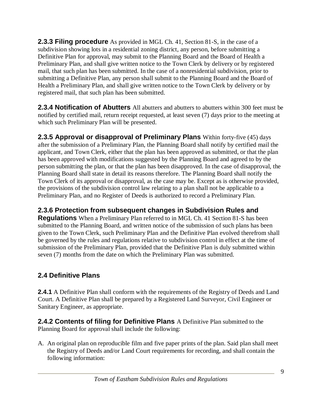**2.3.3 Filing procedure** As provided in MGL Ch. 41, Section 81-S, in the case of a subdivision showing lots in a residential zoning district, any person, before submitting a Definitive Plan for approval, may submit to the Planning Board and the Board of Health a Preliminary Plan, and shall give written notice to the Town Clerk by delivery or by registered mail, that such plan has been submitted. In the case of a nonresidential subdivision, prior to submitting a Definitive Plan, any person shall submit to the Planning Board and the Board of Health a Preliminary Plan, and shall give written notice to the Town Clerk by delivery or by registered mail, that such plan has been submitted.

**2.3.4 Notification of Abutters** All abutters and abutters to abutters within 300 feet must be notified by certified mail, return receipt requested, at least seven (7) days prior to the meeting at which such Preliminary Plan will be presented.

**2.3.5 Approval or disapproval of Preliminary Plans** Within forty-five (45) days after the submission of a Preliminary Plan, the Planning Board shall notify by certified mail the applicant, and Town Clerk, either that the plan has been approved as submitted, or that the plan has been approved with modifications suggested by the Planning Board and agreed to by the person submitting the plan, or that the plan has been disapproved. In the case of disapproval, the Planning Board shall state in detail its reasons therefore. The Planning Board shall notify the Town Clerk of its approval or disapproval, as the case may be. Except as is otherwise provided, the provisions of the subdivision control law relating to a plan shall not be applicable to a Preliminary Plan, and no Register of Deeds is authorized to record a Preliminary Plan.

#### **2.3.6 Protection from subsequent changes in Subdivision Rules and**

**Regulations** When a Preliminary Plan referred to in MGL Ch. 41 Section 81-S has been submitted to the Planning Board, and written notice of the submission of such plans has been given to the Town Clerk, such Preliminary Plan and the Definitive Plan evolved therefrom shall be governed by the rules and regulations relative to subdivision control in effect at the time of submission of the Preliminary Plan, provided that the Definitive Plan is duly submitted within seven (7) months from the date on which the Preliminary Plan was submitted.

#### **2.4 Definitive Plans**

**2.4.1** A Definitive Plan shall conform with the requirements of the Registry of Deeds and Land Court. A Definitive Plan shall be prepared by a Registered Land Surveyor, Civil Engineer or Sanitary Engineer, as appropriate.

**2.4.2 Contents of filing for Definitive Plans** A Definitive Plan submitted to the Planning Board for approval shall include the following:

A. An original plan on reproducible film and five paper prints of the plan. Said plan shall meet the Registry of Deeds and/or Land Court requirements for recording, and shall contain the following information: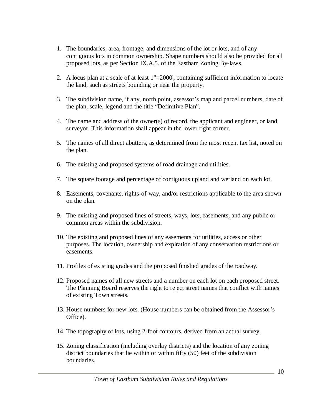- 1. The boundaries, area, frontage, and dimensions of the lot or lots, and of any contiguous lots in common ownership. Shape numbers should also be provided for all proposed lots, as per Section IX.A.5. of the Eastham Zoning By-laws.
- 2. A locus plan at a scale of at least 1"=2000', containing sufficient information to locate the land, such as streets bounding or near the property.
- 3. The subdivision name, if any, north point, assessor's map and parcel numbers, date of the plan, scale, legend and the title "Definitive Plan".
- 4. The name and address of the owner(s) of record, the applicant and engineer, or land surveyor. This information shall appear in the lower right corner.
- 5. The names of all direct abutters, as determined from the most recent tax list, noted on the plan.
- 6. The existing and proposed systems of road drainage and utilities.
- 7. The square footage and percentage of contiguous upland and wetland on each lot.
- 8. Easements, covenants, rights-of-way, and/or restrictions applicable to the area shown on the plan.
- 9. The existing and proposed lines of streets, ways, lots, easements, and any public or common areas within the subdivision.
- 10. The existing and proposed lines of any easements for utilities, access or other purposes. The location, ownership and expiration of any conservation restrictions or easements.
- 11. Profiles of existing grades and the proposed finished grades of the roadway.
- 12. Proposed names of all new streets and a number on each lot on each proposed street. The Planning Board reserves the right to reject street names that conflict with names of existing Town streets.
- 13. House numbers for new lots. (House numbers can be obtained from the Assessor's Office).
- 14. The topography of lots, using 2-foot contours, derived from an actual survey.
- 15. Zoning classification (including overlay districts) and the location of any zoning district boundaries that lie within or within fifty (50) feet of the subdivision boundaries.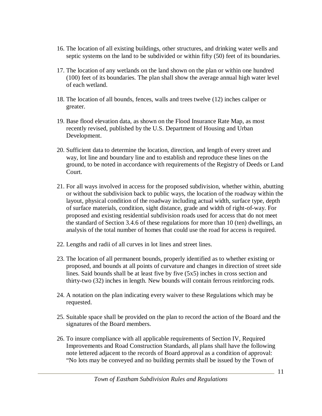- 16. The location of all existing buildings, other structures, and drinking water wells and septic systems on the land to be subdivided or within fifty (50) feet of its boundaries.
- 17. The location of any wetlands on the land shown on the plan or within one hundred (100) feet of its boundaries. The plan shall show the average annual high water level of each wetland.
- 18. The location of all bounds, fences, walls and trees twelve (12) inches caliper or greater.
- 19. Base flood elevation data, as shown on the Flood Insurance Rate Map, as most recently revised, published by the U.S. Department of Housing and Urban Development.
- 20. Sufficient data to determine the location, direction, and length of every street and way, lot line and boundary line and to establish and reproduce these lines on the ground, to be noted in accordance with requirements of the Registry of Deeds or Land Court.
- 21. For all ways involved in access for the proposed subdivision, whether within, abutting or without the subdivision back to public ways, the location of the roadway within the layout, physical condition of the roadway including actual width, surface type, depth of surface materials, condition, sight distance, grade and width of right-of-way. For proposed and existing residential subdivision roads used for access that do not meet the standard of Section 3.4.6 of these regulations for more than 10 (ten) dwellings, an analysis of the total number of homes that could use the road for access is required.
- 22. Lengths and radii of all curves in lot lines and street lines.
- 23. The location of all permanent bounds, properly identified as to whether existing or proposed, and bounds at all points of curvature and changes in direction of street side lines. Said bounds shall be at least five by five (5x5) inches in cross section and thirty-two (32) inches in length. New bounds will contain ferrous reinforcing rods.
- 24. A notation on the plan indicating every waiver to these Regulations which may be requested.
- 25. Suitable space shall be provided on the plan to record the action of the Board and the signatures of the Board members.
- 26. To insure compliance with all applicable requirements of Section IV, Required Improvements and Road Construction Standards, all plans shall have the following note lettered adjacent to the records of Board approval as a condition of approval: "No lots may be conveyed and no building permits shall be issued by the Town of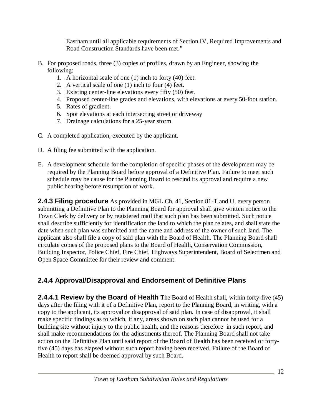Eastham until all applicable requirements of Section IV, Required Improvements and Road Construction Standards have been met."

- B. For proposed roads, three (3) copies of profiles, drawn by an Engineer, showing the following:
	- 1. A horizontal scale of one (1) inch to forty (40) feet.
	- 2. A vertical scale of one (1) inch to four (4) feet.
	- 3. Existing center-line elevations every fifty (50) feet.
	- 4. Proposed center-line grades and elevations, with elevations at every 50-foot station.
	- 5. Rates of gradient.
	- 6. Spot elevations at each intersecting street or driveway
	- 7. Drainage calculations for a 25-year storm
- C. A completed application, executed by the applicant.
- D. A filing fee submitted with the application.
- E. A development schedule for the completion of specific phases of the development may be required by the Planning Board before approval of a Definitive Plan. Failure to meet such schedule may be cause for the Planning Board to rescind its approval and require a new public hearing before resumption of work.

**2.4.3 Filing procedure** As provided in MGL Ch. 41, Section 81-T and U, every person submitting a Definitive Plan to the Planning Board for approval shall give written notice to the Town Clerk by delivery or by registered mail that such plan has been submitted. Such notice shall describe sufficiently for identification the land to which the plan relates, and shall state the date when such plan was submitted and the name and address of the owner of such land. The applicant also shall file a copy of said plan with the Board of Health. The Planning Board shall circulate copies of the proposed plans to the Board of Health, Conservation Commission, Building Inspector, Police Chief, Fire Chief, Highways Superintendent, Board of Selectmen and Open Space Committee for their review and comment.

#### **2.4.4 Approval/Disapproval and Endorsement of Definitive Plans**

**2.4.4.1 Review by the Board of Health** The Board of Health shall, within forty-five (45) days after the filing with it of a Definitive Plan, report to the Planning Board, in writing, with a copy to the applicant, its approval or disapproval of said plan. In case of disapproval, it shall make specific findings as to which, if any, areas shown on such plan cannot be used for a building site without injury to the public health, and the reasons therefore in such report, and shall make recommendations for the adjustments thereof. The Planning Board shall not take action on the Definitive Plan until said report of the Board of Health has been received or fortyfive (45) days has elapsed without such report having been received. Failure of the Board of Health to report shall be deemed approval by such Board.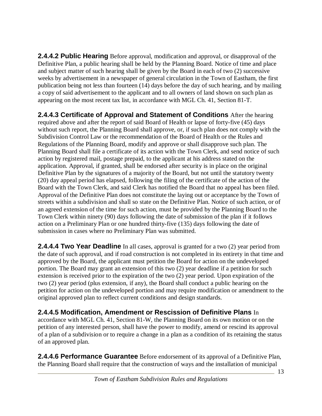**2.4.4.2 Public Hearing** Before approval, modification and approval, or disapproval of the Definitive Plan, a public hearing shall be held by the Planning Board. Notice of time and place and subject matter of such hearing shall be given by the Board in each of two (2) successive weeks by advertisement in a newspaper of general circulation in the Town of Eastham, the first publication being not less than fourteen (14) days before the day of such hearing, and by mailing a copy of said advertisement to the applicant and to all owners of land shown on such plan as appearing on the most recent tax list, in accordance with MGL Ch. 41, Section 81-T.

**2.4.4.3 Certificate of Approval and Statement of Conditions** After the hearing required above and after the report of said Board of Health or lapse of forty-five (45) days without such report, the Planning Board shall approve, or, if such plan does not comply with the Subdivision Control Law or the recommendation of the Board of Health or the Rules and Regulations of the Planning Board, modify and approve or shall disapprove such plan. The Planning Board shall file a certificate of its action with the Town Clerk, and send notice of such action by registered mail, postage prepaid, to the applicant at his address stated on the application. Approval, if granted, shall be endorsed after security is in place on the original Definitive Plan by the signatures of a majority of the Board, but not until the statutory twenty (20) day appeal period has elapsed, following the filing of the certificate of the action of the Board with the Town Clerk, and said Clerk has notified the Board that no appeal has been filed. Approval of the Definitive Plan does not constitute the laying out or acceptance by the Town of streets within a subdivision and shall so state on the Definitive Plan. Notice of such action, or of an agreed extension of the time for such action, must be provided by the Planning Board to the Town Clerk within ninety (90) days following the date of submission of the plan if it follows action on a Preliminary Plan or one hundred thirty-five (135) days following the date of submission in cases where no Preliminary Plan was submitted.

**2.4.4.4 Two Year Deadline** In all cases, approval is granted for a two (2) year period from the date of such approval, and if road construction is not completed in its entirety in that time and approved by the Board, the applicant must petition the Board for action on the undeveloped portion. The Board may grant an extension of this two (2) year deadline if a petition for such extension is received prior to the expiration of the two (2) year period. Upon expiration of the two (2) year period (plus extension, if any), the Board shall conduct a public hearing on the petition for action on the undeveloped portion and may require modification or amendment to the original approved plan to reflect current conditions and design standards.

#### **2.4.4.5 Modification, Amendment or Rescission of Definitive Plans** In

accordance with MGL Ch. 41, Section 81-W, the Planning Board on its own motion or on the petition of any interested person, shall have the power to modify, amend or rescind its approval of a plan of a subdivision or to require a change in a plan as a condition of its retaining the status of an approved plan.

**2.4.4.6 Performance Guarantee** Before endorsement of its approval of a Definitive Plan, the Planning Board shall require that the construction of ways and the installation of municipal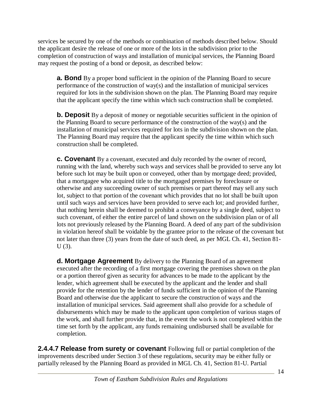services be secured by one of the methods or combination of methods described below. Should the applicant desire the release of one or more of the lots in the subdivision prior to the completion of construction of ways and installation of municipal services, the Planning Board may request the posting of a bond or deposit, as described below:

**a. Bond** By a proper bond sufficient in the opinion of the Planning Board to secure performance of the construction of way(s) and the installation of municipal services required for lots in the subdivision shown on the plan. The Planning Board may require that the applicant specify the time within which such construction shall be completed.

**b. Deposit** By a deposit of money or negotiable securities sufficient in the opinion of the Planning Board to secure performance of the construction of the way(s) and the installation of municipal services required for lots in the subdivision shown on the plan. The Planning Board may require that the applicant specify the time within which such construction shall be completed.

**c. Covenant** By a covenant, executed and duly recorded by the owner of record, running with the land, whereby such ways and services shall be provided to serve any lot before such lot may be built upon or conveyed, other than by mortgage deed; provided, that a mortgagee who acquired title to the mortgaged premises by foreclosure or otherwise and any succeeding owner of such premises or part thereof may sell any such lot, subject to that portion of the covenant which provides that no lot shall be built upon until such ways and services have been provided to serve each lot; and provided further, that nothing herein shall be deemed to prohibit a conveyance by a single deed, subject to such covenant, of either the entire parcel of land shown on the subdivision plan or of all lots not previously released by the Planning Board. A deed of any part of the subdivision in violation hereof shall be voidable by the grantee prior to the release of the covenant but not later than three (3) years from the date of such deed, as per MGL Ch. 41, Section 81- U (3).

**d. Mortgage Agreement** By delivery to the Planning Board of an agreement executed after the recording of a first mortgage covering the premises shown on the plan or a portion thereof given as security for advances to be made to the applicant by the lender, which agreement shall be executed by the applicant and the lender and shall provide for the retention by the lender of funds sufficient in the opinion of the Planning Board and otherwise due the applicant to secure the construction of ways and the installation of municipal services. Said agreement shall also provide for a schedule of disbursements which may be made to the applicant upon completion of various stages of the work, and shall further provide that, in the event the work is not completed within the time set forth by the applicant, any funds remaining undisbursed shall be available for completion.

**2.4.4.7 Release from surety or covenant** Following full or partial completion of the improvements described under Section 3 of these regulations, security may be either fully or partially released by the Planning Board as provided in MGL Ch. 41, Section 81-U. Partial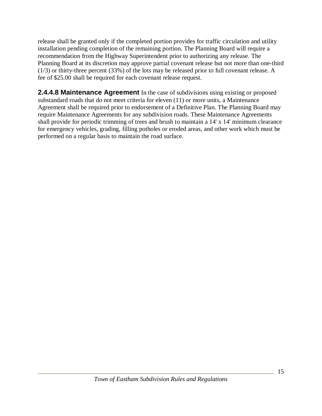release shall be granted only if the completed portion provides for traffic circulation and utility installation pending completion of the remaining portion. The Planning Board will require a recommendation from the Highway Superintendent prior to authorizing any release. The Planning Board at its discretion may approve partial covenant release but not more than one-third (1/3) or thirty-three percent (33%) of the lots may be released prior to full covenant release. A fee of \$25.00 shall be required for each covenant release request.

**2.4.4.8 Maintenance Agreement** In the case of subdivisions using existing or proposed substandard roads that do not meet criteria for eleven (11) or more units, a Maintenance Agreement shall be required prior to endorsement of a Definitive Plan. The Planning Board may require Maintenance Agreements for any subdivision roads. These Maintenance Agreements shall provide for periodic trimming of trees and brush to maintain a 14' x 14' minimum clearance for emergency vehicles, grading, filling potholes or eroded areas, and other work which must be performed on a regular basis to maintain the road surface.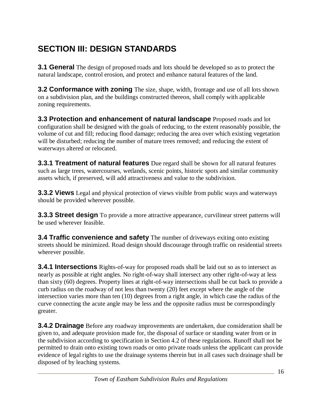# **SECTION III: DESIGN STANDARDS**

**3.1 General** The design of proposed roads and lots should be developed so as to protect the natural landscape, control erosion, and protect and enhance natural features of the land.

**3.2 Conformance with zoning** The size, shape, width, frontage and use of all lots shown on a subdivision plan, and the buildings constructed thereon, shall comply with applicable zoning requirements.

**3.3 Protection and enhancement of natural landscape** Proposed roads and lot configuration shall be designed with the goals of reducing, to the extent reasonably possible, the volume of cut and fill; reducing flood damage; reducing the area over which existing vegetation will be disturbed; reducing the number of mature trees removed; and reducing the extent of waterways altered or relocated.

**3.3.1 Treatment of natural features** Due regard shall be shown for all natural features such as large trees, watercourses, wetlands, scenic points, historic spots and similar community assets which, if preserved, will add attractiveness and value to the subdivision.

**3.3.2 Views** Legal and physical protection of views visible from public ways and waterways should be provided wherever possible.

**3.3.3 Street design** To provide a more attractive appearance, curvilinear street patterns will be used wherever feasible.

**3.4 Traffic convenience and safety** The number of driveways exiting onto existing streets should be minimized. Road design should discourage through traffic on residential streets wherever possible.

**3.4.1 Intersections** Rights-of-way for proposed roads shall be laid out so as to intersect as nearly as possible at right angles. No right-of-way shall intersect any other right-of-way at less than sixty (60) degrees. Property lines at right-of-way intersections shall be cut back to provide a curb radius on the roadway of not less than twenty (20) feet except where the angle of the intersection varies more than ten (10) degrees from a right angle, in which case the radius of the curve connecting the acute angle may be less and the opposite radius must be correspondingly greater.

**3.4.2 Drainage** Before any roadway improvements are undertaken, due consideration shall be given to, and adequate provision made for, the disposal of surface or standing water from or in the subdivision according to specification in Section 4.2 of these regulations. Runoff shall not be permitted to drain onto existing town roads or onto private roads unless the applicant can provide evidence of legal rights to use the drainage systems therein but in all cases such drainage shall be disposed of by leaching systems.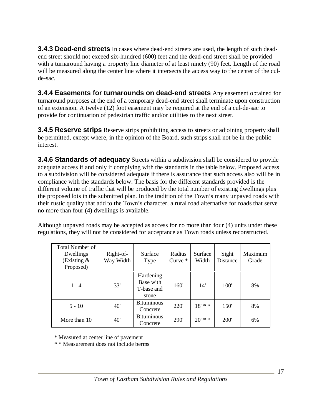**3.4.3 Dead-end streets** In cases where dead-end streets are used, the length of such deadend street should not exceed six-hundred (600) feet and the dead-end street shall be provided with a turnaround having a property line diameter of at least ninety (90) feet. Length of the road will be measured along the center line where it intersects the access way to the center of the culde-sac.

**3.4.4 Easements for turnarounds on dead-end streets** Any easement obtained for turnaround purposes at the end of a temporary dead-end street shall terminate upon construction of an extension. A twelve (12) foot easement may be required at the end of a cul-de-sac to provide for continuation of pedestrian traffic and/or utilities to the next street.

**3.4.5 Reserve strips** Reserve strips prohibiting access to streets or adjoining property shall be permitted, except where, in the opinion of the Board, such strips shall not be in the public interest.

**3.4.6 Standards of adequacy** Streets within a subdivision shall be considered to provide adequate access if and only if complying with the standards in the table below. Proposed access to a subdivision will be considered adequate if there is assurance that such access also will be in compliance with the standards below. The basis for the different standards provided is the different volume of traffic that will be produced by the total number of existing dwellings plus the proposed lots in the submitted plan. In the tradition of the Town's many unpaved roads with their rustic quality that add to the Town's character, a rural road alternative for roads that serve no more than four (4) dwellings is available.

Although unpaved roads may be accepted as access for no more than four (4) units under these regulations, they will not be considered for acceptance as Town roads unless reconstructed.

| <b>Total Number of</b><br>Dwellings<br>(Existing $&$<br>Proposed) | Right-of-<br>Way Width | Surface<br>Type                               | Radius<br>Curve $*$ | Surface<br>Width | Sight<br>Distance | Maximum<br>Grade |
|-------------------------------------------------------------------|------------------------|-----------------------------------------------|---------------------|------------------|-------------------|------------------|
| $1 - 4$                                                           | 33'                    | Hardening<br>Base with<br>T-base and<br>stone | 160'                | 14'              | 100'              | 8%               |
| $5 - 10$                                                          | 40'                    | <b>Bituminous</b><br>Concrete                 | <b>220</b>          | $18' * *$        | 150'              | 8%               |
| More than 10                                                      | 40'                    | <b>Bituminous</b><br>Concrete                 | <b>290</b>          | $20'$ * *        | <b>200</b>        | 6%               |

\* Measured at center line of pavement

\* \* Measurement does not include berms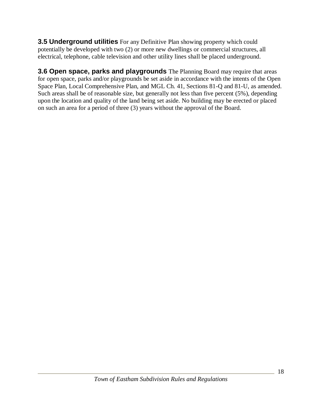**3.5 Underground utilities** For any Definitive Plan showing property which could potentially be developed with two (2) or more new dwellings or commercial structures, all electrical, telephone, cable television and other utility lines shall be placed underground.

**3.6 Open space, parks and playgrounds** The Planning Board may require that areas for open space, parks and/or playgrounds be set aside in accordance with the intents of the Open Space Plan, Local Comprehensive Plan, and MGL Ch. 41, Sections 81-Q and 81-U, as amended. Such areas shall be of reasonable size, but generally not less than five percent (5%), depending upon the location and quality of the land being set aside. No building may be erected or placed on such an area for a period of three (3) years without the approval of the Board.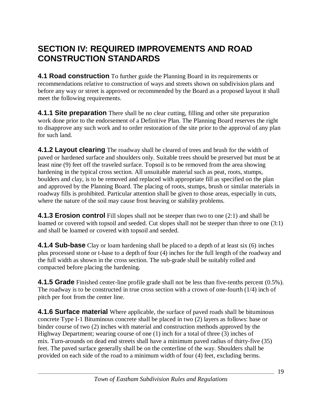### **SECTION IV: REQUIRED IMPROVEMENTS AND ROAD CONSTRUCTION STANDARDS**

**4.1 Road construction** To further guide the Planning Board in its requirements or recommendations relative to construction of ways and streets shown on subdivision plans and before any way or street is approved or recommended by the Board as a proposed layout it shall meet the following requirements.

**4.1.1 Site preparation** There shall be no clear cutting, filling and other site preparation work done prior to the endorsement of a Definitive Plan. The Planning Board reserves the right to disapprove any such work and to order restoration of the site prior to the approval of any plan for such land.

**4.1.2 Layout clearing** The roadway shall be cleared of trees and brush for the width of paved or hardened surface and shoulders only. Suitable trees should be preserved but must be at least nine (9) feet off the traveled surface. Topsoil is to be removed from the area showing hardening in the typical cross section. All unsuitable material such as peat, roots, stumps, boulders and clay, is to be removed and replaced with appropriate fill as specified on the plan and approved by the Planning Board. The placing of roots, stumps, brush or similar materials in roadway fills is prohibited. Particular attention shall be given to those areas, especially in cuts, where the nature of the soil may cause frost heaving or stability problems.

**4.1.3 Erosion control** Fill slopes shall not be steeper than two to one (2:1) and shall be loamed or covered with topsoil and seeded. Cut slopes shall not be steeper than three to one  $(3:1)$ and shall be loamed or covered with topsoil and seeded.

**4.1.4 Sub-base** Clay or loam hardening shall be placed to a depth of at least six (6) inches plus processed stone or t-base to a depth of four (4) inches for the full length of the roadway and the full width as shown in the cross section. The sub-grade shall be suitably rolled and compacted before placing the hardening.

**4.1.5 Grade** Finished center-line profile grade shall not be less than five-tenths percent (0.5%). The roadway is to be constructed in true cross section with a crown of one-fourth (1/4) inch of pitch per foot from the center line.

**4.1.6 Surface material** Where applicable, the surface of paved roads shall be bituminous concrete Type I-1 Bituminous concrete shall be placed in two (2) layers as follows: base or binder course of two (2) inches with material and construction methods approved by the Highway Department; wearing course of one (1) inch for a total of three (3) inches of mix. Turn-arounds on dead end streets shall have a minimum paved radius of thirty-five (35) feet. The paved surface generally shall be on the centerline of the way. Shoulders shall be provided on each side of the road to a minimum width of four (4) feet, excluding berms.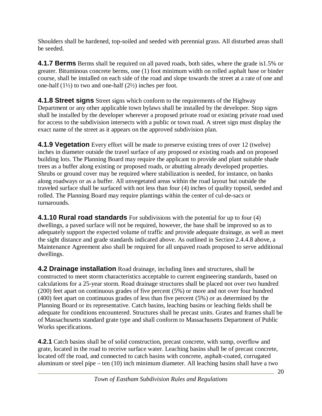Shoulders shall be hardened, top-soiled and seeded with perennial grass. All disturbed areas shall be seeded.

**4.1.7 Berms** Berms shall be required on all paved roads, both sides, where the grade is 1.5% or greater. Bituminous concrete berms, one (1) foot minimum width on rolled asphalt base or binder course, shall be installed on each side of the road and slope towards the street at a rate of one and one-half  $(1\frac{1}{2})$  to two and one-half  $(2\frac{1}{2})$  inches per foot.

**4.1.8 Street signs** Street signs which conform to the requirements of the Highway Department or any other applicable town bylaws shall be installed by the developer. Stop signs shall be installed by the developer wherever a proposed private road or existing private road used for access to the subdivision intersects with a public or town road. A street sign must display the exact name of the street as it appears on the approved subdivision plan.

**4.1.9 Vegetation** Every effort will be made to preserve existing trees of over 12 (twelve) inches in diameter outside the travel surface of any proposed or existing roads and on proposed building lots. The Planning Board may require the applicant to provide and plant suitable shade trees as a buffer along existing or proposed roads, or abutting already developed properties. Shrubs or ground cover may be required where stabilization is needed, for instance, on banks along roadways or as a buffer. All unvegetated areas within the road layout but outside the traveled surface shall be surfaced with not less than four (4) inches of quality topsoil, seeded and rolled. The Planning Board may require plantings within the center of cul-de-sacs or turnarounds.

**4.1.10 Rural road standards** For subdivisions with the potential for up to four (4) dwellings, a paved surface will not be required, however, the base shall be improved so as to adequately support the expected volume of traffic and provide adequate drainage, as well as meet the sight distance and grade standards indicated above. As outlined in Section 2.4.4.8 above, a Maintenance Agreement also shall be required for all unpaved roads proposed to serve additional dwellings.

**4.2 Drainage installation** Road drainage, including lines and structures, shall be constructed to meet storm characteristics acceptable to current engineering standards, based on calculations for a 25-year storm. Road drainage structures shall be placed not over two hundred (200) feet apart on continuous grades of five percent (5%) or more and not over four hundred (400) feet apart on continuous grades of less than five percent (5%) or as determined by the Planning Board or its representative. Catch basins, leaching basins or leaching fields shall be adequate for conditions encountered. Structures shall be precast units. Grates and frames shall be of Massachusetts standard grate type and shall conform to Massachusetts Department of Public Works specifications.

**4.2.1** Catch basins shall be of solid construction, precast concrete, with sump, overflow and grate, located in the road to receive surface water. Leaching basins shall be of precast concrete, located off the road, and connected to catch basins with concrete, asphalt-coated, corrugated aluminum or steel pipe – ten (10) inch minimum diameter. All leaching basins shall have a two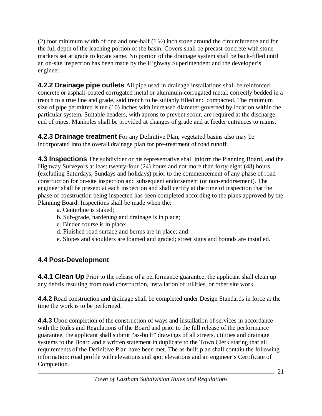(2) foot minimum width of one and one-half  $(1 \frac{1}{2})$  inch stone around the circumference and for the full depth of the leaching portion of the basin. Covers shall be precast concrete with stone markers set at grade to locate same. No portion of the drainage system shall be back-filled until an on-site inspection has been made by the Highway Superintendent and the developer's engineer.

**4.2.2 Drainage pipe outlets** All pipe used in drainage installations shall be reinforced concrete or asphalt-coated corrugated metal or aluminum-corrugated metal, correctly bedded in a trench to a true line and grade, said trench to be suitably filled and compacted. The minimum size of pipe permitted is ten (10) inches with increased diameter governed by location within the particular system. Suitable headers, with aprons to prevent scour, are required at the discharge end of pipes. Manholes shall be provided at changes of grade and at feeder entrances to mains.

**4.2.3 Drainage treatment** For any Definitive Plan, vegetated basins also may be incorporated into the overall drainage plan for pre-treatment of road runoff.

**4.3 Inspections** The subdivider or his representative shall inform the Planning Board, and the Highway Surveyors at least twenty-four (24) hours and not more than forty-eight (48) hours (excluding Saturdays, Sundays and holidays) prior to the commencement of any phase of road construction for on-site inspection and subsequent endorsement (or non-endorsement). The engineer shall be present at each inspection and shall certify at the time of inspection that the phase of construction being inspected has been completed according to the plans approved by the Planning Board. Inspections shall be made when the:

- a. Centerline is staked;
- b. Sub-grade, hardening and drainage is in place;
- c. Binder course is in place;
- d. Finished road surface and berms are in place; and
- e. Slopes and shoulders are loamed and graded; street signs and bounds are installed.

#### **4.4 Post-Development**

**4.4.1 Clean Up** Prior to the release of a performance guarantee; the applicant shall clean up any debris resulting from road construction, installation of utilities, or other site work.

**4.4.2** Road construction and drainage shall be completed under Design Standards in force at the time the work is to be performed.

**4.4.3** Upon completion of the construction of ways and installation of services in accordance with the Rules and Regulations of the Board and prior to the full release of the performance guarantee, the applicant shall submit "as-built" drawings of all streets, utilities and drainage systems to the Board and a written statement in duplicate to the Town Clerk stating that all requirements of the Definitive Plan have been met. The as-built plan shall contain the following information: road profile with elevations and spot elevations and an engineer's Certificate of Completion.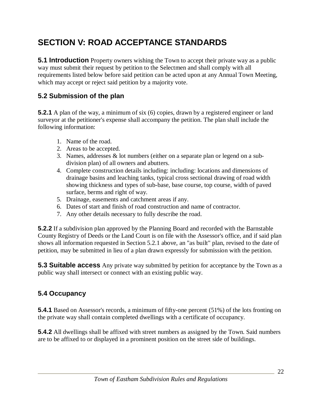# **SECTION V: ROAD ACCEPTANCE STANDARDS**

**5.1 Introduction** Property owners wishing the Town to accept their private way as a public way must submit their request by petition to the Selectmen and shall comply with all requirements listed below before said petition can be acted upon at any Annual Town Meeting, which may accept or reject said petition by a majority vote.

#### **5.2 Submission of the plan**

**5.2.1** A plan of the way, a minimum of six (6) copies, drawn by a registered engineer or land surveyor at the petitioner's expense shall accompany the petition. The plan shall include the following information:

- 1. Name of the road.
- 2. Areas to be accepted.
- 3. Names, addresses & lot numbers (either on a separate plan or legend on a subdivision plan) of all owners and abutters.
- 4. Complete construction details including: including: locations and dimensions of drainage basins and leaching tanks, typical cross sectional drawing of road width showing thickness and types of sub-base, base course, top course, width of paved surface, berms and right of way.
- 5. Drainage, easements and catchment areas if any.
- 6. Dates of start and finish of road construction and name of contractor.
- 7. Any other details necessary to fully describe the road.

**5.2.2** If a subdivision plan approved by the Planning Board and recorded with the Barnstable County Registry of Deeds or the Land Court is on file with the Assessor's office, and if said plan shows all information requested in Section 5.2.1 above, an "as built" plan, revised to the date of petition, may be submitted in lieu of a plan drawn expressly for submission with the petition.

**5.3 Suitable access** Any private way submitted by petition for acceptance by the Town as a public way shall intersect or connect with an existing public way.

#### **5.4 Occupancy**

**5.4.1** Based on Assessor's records, a minimum of fifty-one percent (51%) of the lots fronting on the private way shall contain completed dwellings with a certificate of occupancy.

**5.4.2** All dwellings shall be affixed with street numbers as assigned by the Town. Said numbers are to be affixed to or displayed in a prominent position on the street side of buildings.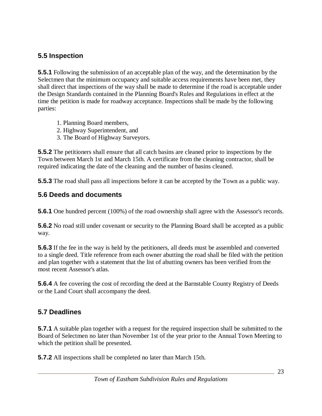#### **5.5 Inspection**

**5.5.1** Following the submission of an acceptable plan of the way, and the determination by the Selectmen that the minimum occupancy and suitable access requirements have been met, they shall direct that inspections of the way shall be made to determine if the road is acceptable under the Design Standards contained in the Planning Board's Rules and Regulations in effect at the time the petition is made for roadway acceptance. Inspections shall be made by the following parties:

- 1. Planning Board members,
- 2. Highway Superintendent, and
- 3. The Board of Highway Surveyors.

**5.5.2** The petitioners shall ensure that all catch basins are cleaned prior to inspections by the Town between March 1st and March 15th. A certificate from the cleaning contractor, shall be required indicating the date of the cleaning and the number of basins cleaned.

**5.5.3** The road shall pass all inspections before it can be accepted by the Town as a public way.

#### **5.6 Deeds and documents**

**5.6.1** One hundred percent (100%) of the road ownership shall agree with the Assessor's records.

**5.6.2** No road still under covenant or security to the Planning Board shall be accepted as a public way.

**5.6.3** If the fee in the way is held by the petitioners, all deeds must be assembled and converted to a single deed. Title reference from each owner abutting the road shall be filed with the petition and plan together with a statement that the list of abutting owners has been verified from the most recent Assessor's atlas.

**5.6.4** A fee covering the cost of recording the deed at the Barnstable County Registry of Deeds or the Land Court shall accompany the deed.

#### **5.7 Deadlines**

**5.7.1** A suitable plan together with a request for the required inspection shall be submitted to the Board of Selectmen no later than November 1st of the year prior to the Annual Town Meeting to which the petition shall be presented.

**5.7.2** All inspections shall be completed no later than March 15th.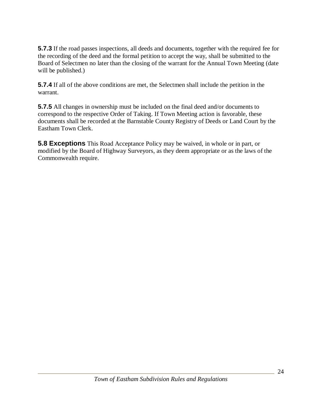**5.7.3** If the road passes inspections, all deeds and documents, together with the required fee for the recording of the deed and the formal petition to accept the way, shall be submitted to the Board of Selectmen no later than the closing of the warrant for the Annual Town Meeting (date will be published.)

**5.7.4** If all of the above conditions are met, the Selectmen shall include the petition in the warrant.

**5.7.5** All changes in ownership must be included on the final deed and/or documents to correspond to the respective Order of Taking. If Town Meeting action is favorable, these documents shall be recorded at the Barnstable County Registry of Deeds or Land Court by the Eastham Town Clerk.

**5.8 Exceptions** This Road Acceptance Policy may be waived, in whole or in part, or modified by the Board of Highway Surveyors, as they deem appropriate or as the laws of the Commonwealth require.